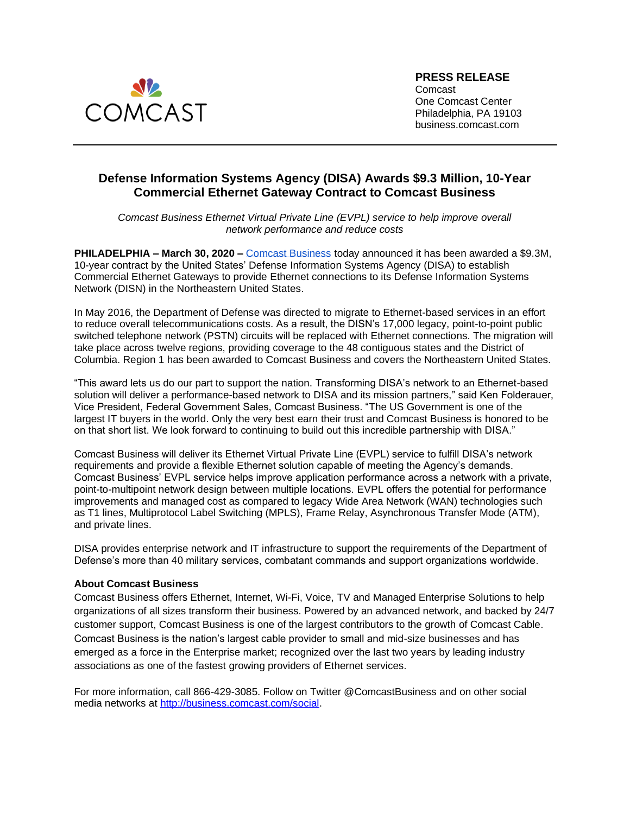

## **Defense Information Systems Agency (DISA) Awards \$9.3 Million, 10-Year Commercial Ethernet Gateway Contract to Comcast Business**

*Comcast Business Ethernet Virtual Private Line (EVPL) service to help improve overall network performance and reduce costs*

**PHILADELPHIA – March 30, 2020 –** [Comcast Business](https://business.comcast.com/) today announced it has been awarded a \$9.3M, 10-year contract by the United States' Defense Information Systems Agency (DISA) to establish Commercial Ethernet Gateways to provide Ethernet connections to its Defense Information Systems Network (DISN) in the Northeastern United States.

In May 2016, the Department of Defense was directed to migrate to Ethernet-based services in an effort to reduce overall telecommunications costs. As a result, the DISN's 17,000 legacy, point-to-point public switched telephone network (PSTN) circuits will be replaced with Ethernet connections. The migration will take place across twelve regions, providing coverage to the 48 contiguous states and the District of Columbia. Region 1 has been awarded to Comcast Business and covers the Northeastern United States.

"This award lets us do our part to support the nation. Transforming DISA's network to an Ethernet-based solution will deliver a performance-based network to DISA and its mission partners," said Ken Folderauer, Vice President, Federal Government Sales, Comcast Business. "The US Government is one of the largest IT buyers in the world. Only the very best earn their trust and Comcast Business is honored to be on that short list. We look forward to continuing to build out this incredible partnership with DISA."

Comcast Business will deliver its Ethernet Virtual Private Line (EVPL) service to fulfill DISA's network requirements and provide a flexible Ethernet solution capable of meeting the Agency's demands. Comcast Business' EVPL service helps improve application performance across a network with a private, point-to-multipoint network design between multiple locations. EVPL offers the potential for performance improvements and managed cost as compared to legacy Wide Area Network (WAN) technologies such as T1 lines, Multiprotocol Label Switching (MPLS), Frame Relay, Asynchronous Transfer Mode (ATM), and private lines.

DISA provides enterprise network and IT infrastructure to support the requirements of the Department of Defense's more than 40 military services, combatant commands and support organizations worldwide.

## **About Comcast Business**

Comcast Business offers Ethernet, Internet, Wi-Fi, Voice, TV and Managed Enterprise Solutions to help organizations of all sizes transform their business. Powered by an advanced network, and backed by 24/7 customer support, Comcast Business is one of the largest contributors to the growth of Comcast Cable. Comcast Business is the nation's largest cable provider to small and mid-size businesses and has emerged as a force in the Enterprise market; recognized over the last two years by leading industry associations as one of the fastest growing providers of Ethernet services.

For more information, call 866-429-3085. Follow on Twitter @ComcastBusiness and on other social media networks at [http://business.comcast.com/social.](http://business.comcast.com/about-us/social-media)